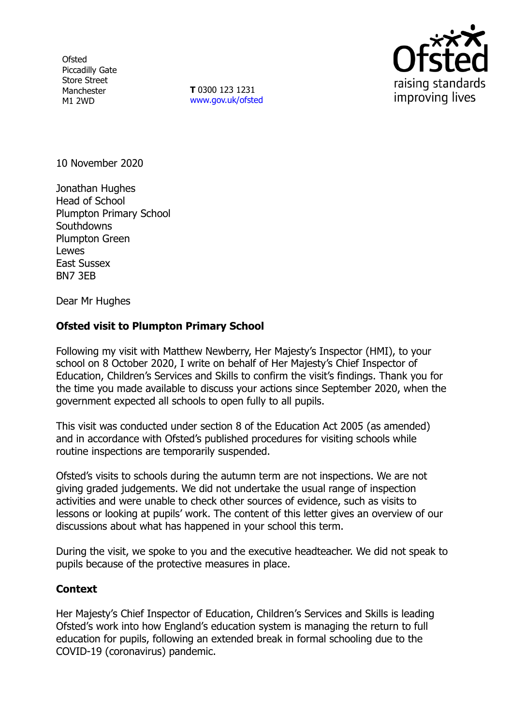**Ofsted** Piccadilly Gate Store Street Manchester M1 2WD

**T** 0300 123 1231 [www.gov.uk/ofsted](http://www.gov.uk/ofsted)



10 November 2020

Jonathan Hughes Head of School Plumpton Primary School **Southdowns** Plumpton Green Lewes East Sussex BN7 3EB

Dear Mr Hughes

## **Ofsted visit to Plumpton Primary School**

Following my visit with Matthew Newberry, Her Majesty's Inspector (HMI), to your school on 8 October 2020, I write on behalf of Her Majesty's Chief Inspector of Education, Children's Services and Skills to confirm the visit's findings. Thank you for the time you made available to discuss your actions since September 2020, when the government expected all schools to open fully to all pupils.

This visit was conducted under section 8 of the Education Act 2005 (as amended) and in accordance with Ofsted's published procedures for visiting schools while routine inspections are temporarily suspended.

Ofsted's visits to schools during the autumn term are not inspections. We are not giving graded judgements. We did not undertake the usual range of inspection activities and were unable to check other sources of evidence, such as visits to lessons or looking at pupils' work. The content of this letter gives an overview of our discussions about what has happened in your school this term.

During the visit, we spoke to you and the executive headteacher. We did not speak to pupils because of the protective measures in place.

## **Context**

Her Majesty's Chief Inspector of Education, Children's Services and Skills is leading Ofsted's work into how England's education system is managing the return to full education for pupils, following an extended break in formal schooling due to the COVID-19 (coronavirus) pandemic.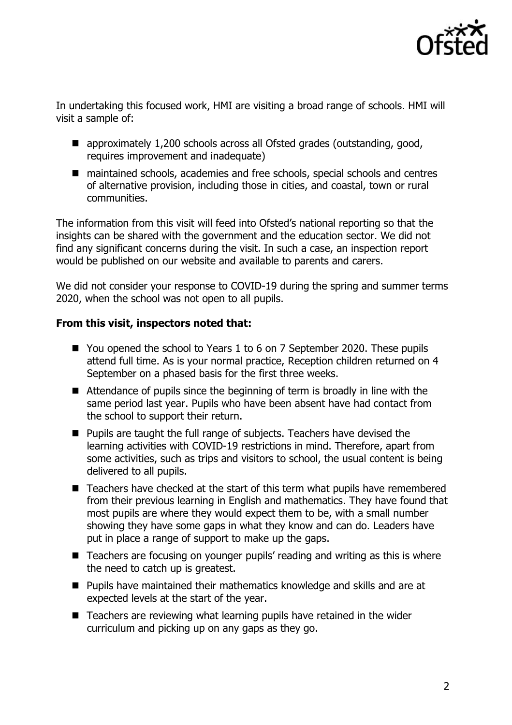

In undertaking this focused work, HMI are visiting a broad range of schools. HMI will visit a sample of:

- approximately 1,200 schools across all Ofsted grades (outstanding, good, requires improvement and inadequate)
- maintained schools, academies and free schools, special schools and centres of alternative provision, including those in cities, and coastal, town or rural communities.

The information from this visit will feed into Ofsted's national reporting so that the insights can be shared with the government and the education sector. We did not find any significant concerns during the visit. In such a case, an inspection report would be published on our website and available to parents and carers.

We did not consider your response to COVID-19 during the spring and summer terms 2020, when the school was not open to all pupils.

## **From this visit, inspectors noted that:**

- You opened the school to Years 1 to 6 on 7 September 2020. These pupils attend full time. As is your normal practice, Reception children returned on 4 September on a phased basis for the first three weeks.
- Attendance of pupils since the beginning of term is broadly in line with the same period last year. Pupils who have been absent have had contact from the school to support their return.
- Pupils are taught the full range of subjects. Teachers have devised the learning activities with COVID-19 restrictions in mind. Therefore, apart from some activities, such as trips and visitors to school, the usual content is being delivered to all pupils.
- Teachers have checked at the start of this term what pupils have remembered from their previous learning in English and mathematics. They have found that most pupils are where they would expect them to be, with a small number showing they have some gaps in what they know and can do. Leaders have put in place a range of support to make up the gaps.
- Teachers are focusing on younger pupils' reading and writing as this is where the need to catch up is greatest.
- Pupils have maintained their mathematics knowledge and skills and are at expected levels at the start of the year.
- Teachers are reviewing what learning pupils have retained in the wider curriculum and picking up on any gaps as they go.